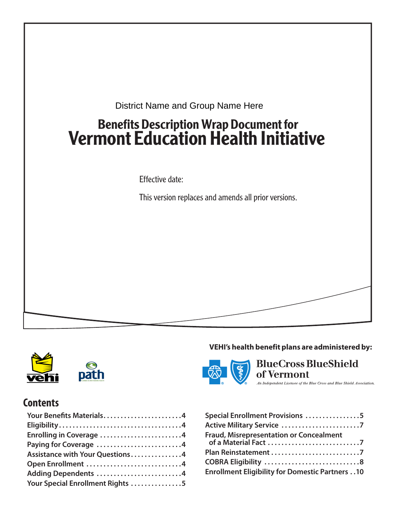



## **Contents**

| Your Benefits Materials4         |
|----------------------------------|
|                                  |
| Enrolling in Coverage 4          |
| Paying for Coverage 4            |
| Assistance with Your Questions4  |
| Open Enrollment 4                |
| Adding Dependents 4              |
| Your Special Enrollment Rights 5 |

### **VEHI's health benefit plans are administered by:**



**BlueCross BlueShield**  $\ell$ ermont of the Blue Cross and Blue Shield Association.

| Special Enrollment Provisions 5                       |
|-------------------------------------------------------|
|                                                       |
| <b>Fraud, Misrepresentation or Concealment</b>        |
|                                                       |
|                                                       |
| <b>Enrollment Eligibility for Domestic Partners10</b> |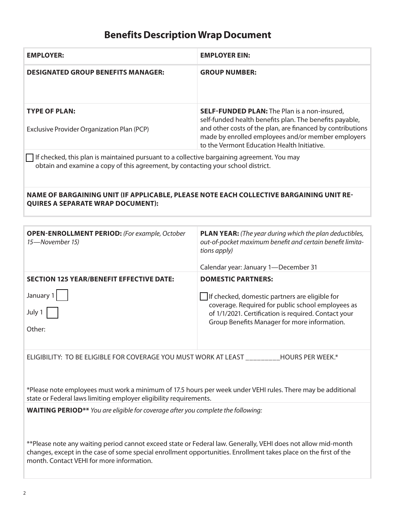### **Benefits Description Wrap Document**

| <b>EMPLOYER:</b>                                                                                                                                                               | <b>EMPLOYER EIN:</b>                                                                                                                                                                                                                                                              |  |  |
|--------------------------------------------------------------------------------------------------------------------------------------------------------------------------------|-----------------------------------------------------------------------------------------------------------------------------------------------------------------------------------------------------------------------------------------------------------------------------------|--|--|
| <b>DESIGNATED GROUP BENEFITS MANAGER:</b>                                                                                                                                      | <b>GROUP NUMBER:</b>                                                                                                                                                                                                                                                              |  |  |
| <b>TYPE OF PLAN:</b><br>Exclusive Provider Organization Plan (PCP)                                                                                                             | <b>SELF-FUNDED PLAN:</b> The Plan is a non-insured,<br>self-funded health benefits plan. The benefits payable,<br>and other costs of the plan, are financed by contributions<br>made by enrolled employees and/or member employers<br>to the Vermont Education Health Initiative. |  |  |
| If checked, this plan is maintained pursuant to a collective bargaining agreement. You may<br>obtain and examine a copy of this agreement, by contacting your school district. |                                                                                                                                                                                                                                                                                   |  |  |
| NAME OF BARGAINING UNIT (IF APPLICABLE, PLEASE NOTE EACH COLLECTIVE BARGAINING UNIT RE-<br><b>QUIRES A SEPARATE WRAP DOCUMENT):</b>                                            |                                                                                                                                                                                                                                                                                   |  |  |
|                                                                                                                                                                                |                                                                                                                                                                                                                                                                                   |  |  |
| <b>OPEN-ENROLLMENT PERIOD:</b> (For example, October<br>15-November 15)                                                                                                        | <b>PLAN YEAR:</b> (The year during which the plan deductibles,<br>out-of-pocket maximum benefit and certain benefit limita-<br>tions apply)                                                                                                                                       |  |  |
|                                                                                                                                                                                | Calendar year: January 1-December 31                                                                                                                                                                                                                                              |  |  |

**DOMESTIC PARTNERS:**

If checked, domestic partners are eligible for

coverage. Required for public school employees as of 1/1/2021. Certification is required. Contact your Group Benefits Manager for more information.

**SECTION 125 YEAR/BENEFIT EFFECTIVE DATE:** 

| January |  |
|---------|--|
| July 1  |  |

Other:

ELIGIBILITY: TO BE ELIGIBLE FOR COVERAGE YOU MUST WORK AT LEAST \_\_\_\_\_\_\_\_\_HOURS PER WEEK.\*

\*Please note employees must work a minimum of 17.5 hours per week under VEHI rules. There may be additional state or Federal laws limiting employer eligibility requirements.

**WAITING PERIOD\*\*** *You are eligible for coverage after you complete the following:* 

\*\*Please note any waiting period cannot exceed state or Federal law. Generally, VEHI does not allow mid-month changes, except in the case of some special enrollment opportunities. Enrollment takes place on the first of the month. Contact VEHI for more information.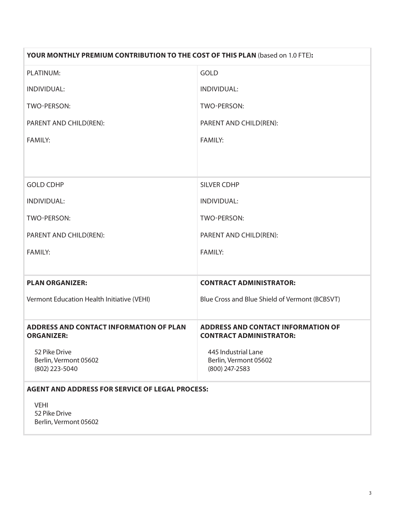| YOUR MONTHLY PREMIUM CONTRIBUTION TO THE COST OF THIS PLAN (based on 1.0 FTE): |                                                                             |  |
|--------------------------------------------------------------------------------|-----------------------------------------------------------------------------|--|
| PLATINUM:                                                                      | <b>GOLD</b>                                                                 |  |
| INDIVIDUAL:                                                                    | <b>INDIVIDUAL:</b>                                                          |  |
| TWO-PERSON:                                                                    | TWO-PERSON:                                                                 |  |
| PARENT AND CHILD(REN):                                                         | PARENT AND CHILD(REN):                                                      |  |
| <b>FAMILY:</b>                                                                 | <b>FAMILY:</b>                                                              |  |
|                                                                                |                                                                             |  |
|                                                                                |                                                                             |  |
| <b>GOLD CDHP</b>                                                               | <b>SILVER CDHP</b>                                                          |  |
| INDIVIDUAL:                                                                    | INDIVIDUAL:                                                                 |  |
| TWO-PERSON:                                                                    | TWO-PERSON:                                                                 |  |
| PARENT AND CHILD(REN):                                                         | PARENT AND CHILD(REN):                                                      |  |
| <b>FAMILY:</b>                                                                 | <b>FAMILY:</b>                                                              |  |
|                                                                                |                                                                             |  |
| <b>PLAN ORGANIZER:</b>                                                         | <b>CONTRACT ADMINISTRATOR:</b>                                              |  |
| Vermont Education Health Initiative (VEHI)                                     | Blue Cross and Blue Shield of Vermont (BCBSVT)                              |  |
|                                                                                |                                                                             |  |
| <b>ADDRESS AND CONTACT INFORMATION OF PLAN</b><br><b>ORGANIZER:</b>            | <b>ADDRESS AND CONTACT INFORMATION OF</b><br><b>CONTRACT ADMINISTRATOR:</b> |  |
| 52 Pike Drive                                                                  | 445 Industrial Lane                                                         |  |
| Berlin, Vermont 05602                                                          | Berlin, Vermont 05602                                                       |  |
| (802) 223-5040                                                                 | (800) 247-2583                                                              |  |
| <b>AGENT AND ADDRESS FOR SERVICE OF LEGAL PROCESS:</b>                         |                                                                             |  |
| <b>VEHI</b>                                                                    |                                                                             |  |
| 52 Pike Drive                                                                  |                                                                             |  |
| Berlin, Vermont 05602                                                          |                                                                             |  |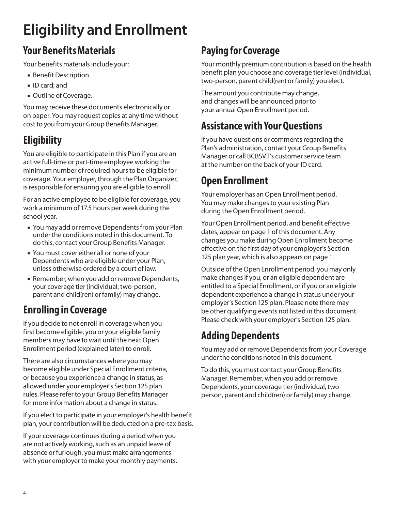# **Eligibility and Enrollment**

## **Your Benefits Materials**

Your benefits materials include your:

- **Benefit Description**
- **ID** card; and
- Outline of Coverage.

You may receive these documents electronically or on paper. You may request copies at any time without cost to you from your Group Benefits Manager.

## **Eligibility**

You are eligible to participate in this Plan if you are an active full-time or part-time employee working the minimum number of required hours to be eligible for coverage. Your employer, through the Plan Organizer, is responsible for ensuring you are eligible to enroll.

For an active employee to be eligible for coverage, you work a minimum of 17.5 hours per week during the school year.

- You may add or remove Dependents from your Plan under the conditions noted in this document. To do this, contact your Group Benefits Manager.
- You must cover either all or none of your Dependents who are eligible under your Plan, unless otherwise ordered by a court of law.
- Remember, when you add or remove Dependents, your coverage tier (individual, two-person, parent and child(ren) or family) may change.

## **Enrolling in Coverage**

If you decide to not enroll in coverage when you first become eligible, you or your eligible family members may have to wait until the next Open Enrollment period (explained later) to enroll.

There are also circumstances where you may become eligible under Special Enrollment criteria, or because you experience a change in status, as allowed under your employer's Section 125 plan rules. Please refer to your Group Benefits Manager for more information about a change in status.

If you elect to participate in your employer's health benefit plan, your contribution will be deducted on a pre-tax basis.

If your coverage continues during a period when you are not actively working, such as an unpaid leave of absence or furlough, you must make arrangements with your employer to make your monthly payments.

## **Paying for Coverage**

Your monthly premium contribution is based on the health benefit plan you choose and coverage tier level (individual, two-person, parent child(ren) or family) you elect.

The amount you contribute may change, and changes will be announced prior to your annual Open Enrollment period.

## **Assistance with Your Questions**

If you have questions or comments regarding the Plan's administration, contact your Group Benefits Manager or call BCBSVT's customer service team at the number on the back of your ID card.

## **Open Enrollment**

Your employer has an Open Enrollment period. You may make changes to your existing Plan during the Open Enrollment period.

Your Open Enrollment period, and benefit effective dates, appear on page 1 of this document. Any changes you make during Open Enrollment become effective on the first day of your employer's Section 125 plan year, which is also appears on page 1.

Outside of the Open Enrollment period, you may only make changes if you, or an eligible dependent are entitled to a Special Enrollment, or if you or an eligible dependent experience a change in status under your employer's Section 125 plan. Please note there may be other qualifying events not listed in this document. Please check with your employer's Section 125 plan.

## **Adding Dependents**

You may add or remove Dependents from your Coverage under the conditions noted in this document.

To do this, you must contact your Group Benefits Manager. Remember, when you add or remove Dependents, your coverage tier (individual, twoperson, parent and child(ren) or family) may change.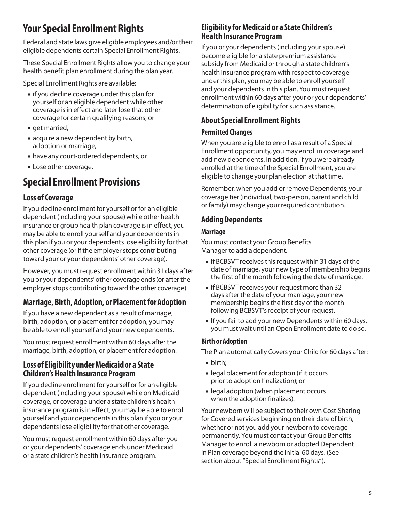## **Your Special Enrollment Rights**

Federal and state laws give eligible employees and/or their eligible dependents certain Special Enrollment Rights.

These Special Enrollment Rights allow you to change your health benefit plan enrollment during the plan year.

Special Enrollment Rights are available:

- **I** if you decline coverage under this plan for yourself or an eligible dependent while other coverage is in effect and later lose that other coverage for certain qualifying reasons, or
- qet married,
- acquire a new dependent by birth, adoption or marriage,
- have any court-ordered dependents, or
- **Lose other coverage.**

## **Special Enrollment Provisions**

### **Loss of Coverage**

If you decline enrollment for yourself or for an eligible dependent (including your spouse) while other health insurance or group health plan coverage is in effect, you may be able to enroll yourself and your dependents in this plan if you or your dependents lose eligibility for that other coverage (or if the employer stops contributing toward your or your dependents' other coverage).

However, you must request enrollment within 31 days after you or your dependents' other coverage ends (or after the employer stops contributing toward the other coverage).

### **Marriage, Birth, Adoption, or Placement for Adoption**

If you have a new dependent as a result of marriage, birth, adoption, or placement for adoption, you may be able to enroll yourself and your new dependents.

You must request enrollment within 60 days after the marriage, birth, adoption, or placement for adoption.

### **Loss of Eligibility under Medicaid or a State Children's Health Insurance Program**

If you decline enrollment for yourself or for an eligible dependent (including your spouse) while on Medicaid coverage, or coverage under a state children's health insurance program is in effect, you may be able to enroll yourself and your dependents in this plan if you or your dependents lose eligibility for that other coverage.

You must request enrollment within 60 days after you or your dependents' coverage ends under Medicaid or a state children's health insurance program.

### **Eligibility for Medicaid or a State Children's Health Insurance Program**

If you or your dependents (including your spouse) become eligible for a state premium assistance subsidy from Medicaid or through a state children's health insurance program with respect to coverage under this plan, you may be able to enroll yourself and your dependents in this plan. You must request enrollment within 60 days after your or your dependents' determination of eligibility for such assistance.

### **About Special Enrollment Rights**

#### **Permitted Changes**

When you are eligible to enroll as a result of a Special Enrollment opportunity, you may enroll in coverage and add new dependents. In addition, if you were already enrolled at the time of the Special Enrollment, you are eligible to change your plan election at that time.

Remember, when you add or remove Dependents, your coverage tier (individual, two-person, parent and child or family) may change your required contribution.

### **Adding Dependents**

#### **Marriage**

You must contact your Group Benefits Manager to add a dependent.

- If BCBSVT receives this request within 31 days of the date of marriage, your new type of membership begins the first of the month following the date of marriage.
- If BCBSVT receives your request more than 32 days after the date of your marriage, your new membership begins the first day of the month following BCBSVT's receipt of your request.
- If you fail to add your new Dependents within 60 days, you must wait until an Open Enrollment date to do so.

#### **Birth or Adoption**

The Plan automatically Covers your Child for 60 days after:

- birth;
- legal placement for adoption (if it occurs prior to adoption finalization); or
- legal adoption (when placement occurs when the adoption finalizes).

Your newborn will be subject to their own Cost-Sharing for Covered services beginning on their date of birth, whether or not you add your newborn to coverage permanently. You must contact your Group Benefits Manager to enroll a newborn or adopted Dependent in Plan coverage beyond the initial 60 days. (See section about "Special Enrollment Rights").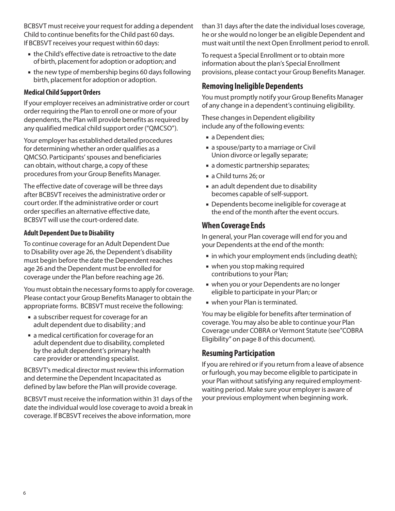BCBSVT must receive your request for adding a dependent Child to continue benefits for the Child past 60 days. If BCBSVT receives your request within 60 days:

- the Child's effective date is retroactive to the date of birth, placement for adoption or adoption; and
- the new type of membership begins 60 days following birth, placement for adoption or adoption.

#### **Medical Child Support Orders**

If your employer receives an administrative order or court order requiring the Plan to enroll one or more of your dependents, the Plan will provide benefits as required by any qualified medical child support order ("QMCSO").

Your employer has established detailed procedures for determining whether an order qualifies as a QMCSO. Participants' spouses and beneficiaries can obtain, without charge, a copy of these procedures from your Group Benefits Manager.

The effective date of coverage will be three days after BCBSVT receives the administrative order or court order. If the administrative order or court order specifies an alternative effective date, BCBSVT will use the court-ordered date.

#### **Adult Dependent Due to Disability**

To continue coverage for an Adult Dependent Due to Disability over age 26, the Dependent's disability must begin before the date the Dependent reaches age 26 and the Dependent must be enrolled for coverage under the Plan before reaching age 26.

You must obtain the necessary forms to apply for coverage. Please contact your Group Benefits Manager to obtain the appropriate forms. BCBSVT must receive the following:

- a subscriber request for coverage for an adult dependent due to disability ; and
- a medical certification for coverage for an adult dependent due to disability, completed by the adult dependent's primary health care provider or attending specialist.

BCBSVT's medical director must review this information and determine the Dependent Incapacitated as defined by law before the Plan will provide coverage.

BCBSVT must receive the information within 31 days of the date the individual would lose coverage to avoid a break in coverage. If BCBSVT receives the above information, more

than 31 days after the date the individual loses coverage, he or she would no longer be an eligible Dependent and must wait until the next Open Enrollment period to enroll.

To request a Special Enrollment or to obtain more information about the plan's Special Enrollment provisions, please contact your Group Benefits Manager.

#### **Removing Ineligible Dependents**

You must promptly notify your Group Benefits Manager of any change in a dependent's continuing eligibility.

These changes in Dependent eligibility include any of the following events:

- a Dependent dies;
- a spouse/party to a marriage or Civil Union divorce or legally separate;
- a domestic partnership separates;
- a Child turns 26; or
- an adult dependent due to disability becomes capable of self-support.
- Dependents become ineligible for coverage at the end of the month after the event occurs.

#### **When Coverage Ends**

In general, your Plan coverage will end for you and your Dependents at the end of the month:

- **in which your employment ends (including death);**
- when you stop making required contributions to your Plan;
- when you or your Dependents are no longer eligible to participate in your Plan; or
- when your Plan is terminated.

You may be eligible for benefits after termination of coverage. You may also be able to continue your Plan Coverage under COBRA or Vermont Statute (see"COBRA Eligibility" on page 8 of this document).

### **Resuming Participation**

If you are rehired or if you return from a leave of absence or furlough, you may become eligible to participate in your Plan without satisfying any required employmentwaiting period. Make sure your employer is aware of your previous employment when beginning work.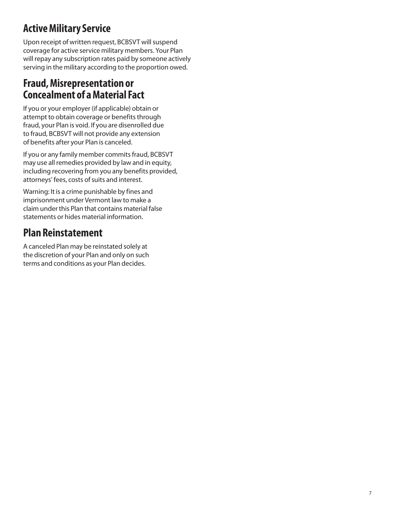## **Active Military Service**

Upon receipt of written request, BCBSVT will suspend coverage for active service military members. Your Plan will repay any subscription rates paid by someone actively serving in the military according to the proportion owed.

## **Fraud, Misrepresentation or Concealment of a Material Fact**

If you or your employer (if applicable) obtain or attempt to obtain coverage or benefits through fraud, your Plan is void. If you are disenrolled due to fraud, BCBSVT will not provide any extension of benefits after your Plan is canceled.

If you or any family member commits fraud, BCBSVT may use all remedies provided by law and in equity, including recovering from you any benefits provided, attorneys' fees, costs of suits and interest.

Warning: It is a crime punishable by fines and imprisonment under Vermont law to make a claim under this Plan that contains material false statements or hides material information.

## **Plan Reinstatement**

A canceled Plan may be reinstated solely at the discretion of your Plan and only on such terms and conditions as your Plan decides.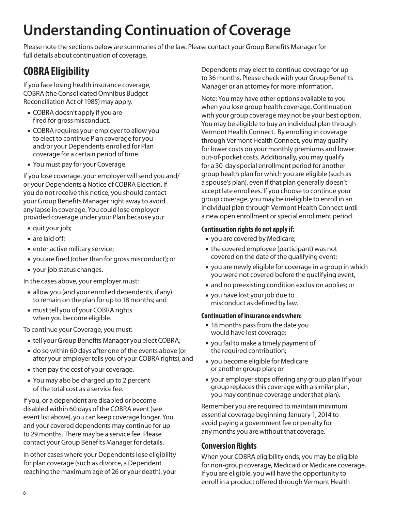# **Understanding Continuation of Coverage**

Please note the sections below are summaries of the law. Please contact your Group Benefits Manager for full details about continuation of coverage.

## **COBRA Eligibility**

If you face losing health insurance coverage, COBRA (the Consolidated Omnibus Budget Reconciliation Act of 1985) may apply.

- COBRA doesn't apply if you are fired for gross misconduct.
- COBRA requires your employer to allow you to elect to continue Plan coverage for you and/or your Dependents enrolled for Plan coverage for a certain period of time.
- You must pay for your Coverage.

If you lose coverage, your employer will send you and/ or your Dependents a Notice of COBRA Election. If you do not receive this notice, you should contact your Group Benefits Manager right away to avoid any lapse in coverage. You could lose employerprovided coverage under your Plan because you:

- quit your job;
- are laid off:
- **EXECUTE:** enter active military service;
- you are fired (other than for gross misconduct); or
- your job status changes.

In the cases above, your employer must:

- allow you (and your enrolled dependents, if any) to remain on the plan for up to 18 months; and
- must tell you of your COBRA rights when you become eligible.

To continue your Coverage, you must:

- tell your Group Benefits Manager you elect COBRA;
- do so within 60 days after one of the events above (or after your employer tells you of your COBRA rights); and
- then pay the cost of your coverage.
- You may also be charged up to 2 percent of the total cost as a service fee.

If you, or a dependent are disabled or become disabled within 60 days of the COBRA event (see event list above), you can keep coverage longer. You and your covered dependents may continue for up to 29 months. There may be a service fee. Please contact your Group Benefits Manager for details.

In other cases where your Dependents lose eligibility for plan coverage (such as divorce, a Dependent reaching the maximum age of 26 or your death), your Dependents may elect to continue coverage for up to 36 months. Please check with your Group Benefits Manager or an attorney for more information.

Note: You may have other options available to you when you lose group health coverage. Continuation with your group coverage may not be your best option. You may be eligible to buy an individual plan through Vermont Health Connect. By enrolling in coverage through Vermont Health Connect, you may qualify for lower costs on your monthly premiums and lower out-of-pocket costs. Additionally, you may qualify for a 30-day special enrollment period for another group health plan for which you are eligible (such as a spouse's plan), even if that plan generally doesn't accept late enrollees. If you choose to continue your group coverage, you may be ineligible to enroll in an individual plan through Vermont Health Connect until a new open enrollment or special enrollment period.

#### **Continuation rights do not apply if:**

- you are covered by Medicare;
- the covered employee (participant) was not covered on the date of the qualifying event;
- you are newly eligible for coverage in a group in which you were not covered before the qualifying event,
- and no preexisting condition exclusion applies; or
- you have lost your job due to misconduct as defined by law.

#### **Continuation of insurance ends when:**

- **18 months pass from the date you** would have lost coverage;
- you fail to make a timely payment of the required contribution;
- you become eligible for Medicare or another group plan; or
- your employer stops offering any group plan (if your group replaces this coverage with a similar plan, you may continue coverage under that plan).

Remember you are required to maintain minimum essential coverage beginning January 1, 2014 to avoid paying a government fee or penalty for any months you are without that coverage.

### **Conversion Rights**

When your COBRA eligibility ends, you may be eligible for non-group coverage, Medicaid or Medicare coverage. If you are eligible, you will have the opportunity to enroll in a product offered through Vermont Health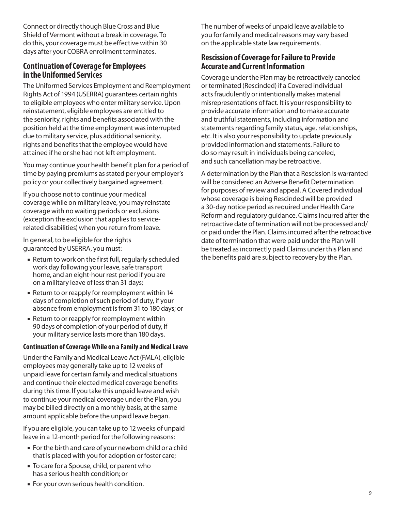Connect or directly though Blue Cross and Blue Shield of Vermont without a break in coverage. To do this, your coverage must be effective within 30 days after your COBRA enrollment terminates.

### **Continuation of Coverage for Employees in the Uniformed Services**

The Uniformed Services Employment and Reemployment Rights Act of 1994 (USERRA) guarantees certain rights to eligible employees who enter military service. Upon reinstatement, eligible employees are entitled to the seniority, rights and benefits associated with the position held at the time employment was interrupted due to military service, plus additional seniority, rights and benefits that the employee would have attained if he or she had not left employment.

You may continue your health benefit plan for a period of time by paying premiums as stated per your employer's policy or your collectively bargained agreement.

If you choose not to continue your medical coverage while on military leave, you may reinstate coverage with no waiting periods or exclusions (exception the exclusion that applies to servicerelated disabilities) when you return from leave.

In general, to be eligible for the rights guaranteed by USERRA, you must:

- Return to work on the first full, regularly scheduled work day following your leave, safe transport home, and an eight-hour rest period if you are on a military leave of less than 31 days;
- Return to or reapply for reemployment within 14 days of completion of such period of duty, if your absence from employment is from 31 to 180 days; or
- Return to or reapply for reemployment within 90 days of completion of your period of duty, if your military service lasts more than 180 days.

#### **Continuation of Coverage While on a Family and Medical Leave**

Under the Family and Medical Leave Act (FMLA), eligible employees may generally take up to 12 weeks of unpaid leave for certain family and medical situations and continue their elected medical coverage benefits during this time. If you take this unpaid leave and wish to continue your medical coverage under the Plan, you may be billed directly on a monthly basis, at the same amount applicable before the unpaid leave began.

If you are eligible, you can take up to 12 weeks of unpaid leave in a 12-month period for the following reasons:

- For the birth and care of your newborn child or a child that is placed with you for adoption or foster care;
- To care for a Spouse, child, or parent who has a serious health condition; or

The number of weeks of unpaid leave available to you for family and medical reasons may vary based on the applicable state law requirements.

### **Rescission of Coverage for Failure to Provide Accurate and Current Information**

Coverage under the Plan may be retroactively canceled or terminated (Rescinded) if a Covered individual acts fraudulently or intentionally makes material misrepresentations of fact. It is your responsibility to provide accurate information and to make accurate and truthful statements, including information and statements regarding family status, age, relationships, etc. It is also your responsibility to update previously provided information and statements. Failure to do so may result in individuals being canceled, and such cancellation may be retroactive.

A determination by the Plan that a Rescission is warranted will be considered an Adverse Benefit Determination for purposes of review and appeal. A Covered individual whose coverage is being Rescinded will be provided a 30-day notice period as required under Health Care Reform and regulatory guidance. Claims incurred after the retroactive date of termination will not be processed and/ or paid under the Plan. Claims incurred after the retroactive date of termination that were paid under the Plan will be treated as incorrectly paid Claims under this Plan and the benefits paid are subject to recovery by the Plan.

For your own serious health condition.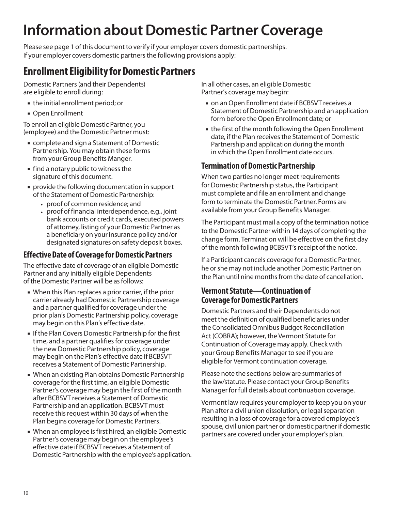# **Information about Domestic Partner Coverage**

Please see page 1 of this document to verify if your employer covers domestic partnerships. If your employer covers domestic partners the following provisions apply:

## **Enrollment Eligibility for Domestic Partners**

Domestic Partners (and their Dependents) are eligible to enroll during:

- the initial enrollment period; or
- **Open Enrollment**

To enroll an eligible Domestic Partner, you (employee) and the Domestic Partner must:

- complete and sign a Statement of Domestic Partnership. You may obtain these forms from your Group Benefits Manger.
- find a notary public to witness the signature of this document.
- provide the following documentation in support of the Statement of Domestic Partnership:
	- proof of common residence; and
	- proof of financial interdependence, e.g., joint bank accounts or credit cards, executed powers of attorney, listing of your Domestic Partner as a beneficiary on your insurance policy and/or designated signatures on safety deposit boxes.

### **Effective Date of Coverage for Domestic Partners**

The effective date of coverage of an eligible Domestic Partner and any initially eligible Dependents of the Domestic Partner will be as follows:

- When this Plan replaces a prior carrier, if the prior carrier already had Domestic Partnership coverage and a partner qualified for coverage under the prior plan's Domestic Partnership policy, coverage may begin on this Plan's effective date.
- If the Plan Covers Domestic Partnership for the first time, and a partner qualifies for coverage under the new Domestic Partnership policy, coverage may begin on the Plan's effective date if BCBSVT receives a Statement of Domestic Partnership.
- When an existing Plan obtains Domestic Partnership coverage for the first time, an eligible Domestic Partner's coverage may begin the first of the month after BCBSVT receives a Statement of Domestic Partnership and an application. BCBSVT must receive this request within 30 days of when the Plan begins coverage for Domestic Partners.
- When an employee is first hired, an eligible Domestic Partner's coverage may begin on the employee's effective date if BCBSVT receives a Statement of Domestic Partnership with the employee's application.

In all other cases, an eligible Domestic Partner's coverage may begin:

- on an Open Enrollment date if BCBSVT receives a Statement of Domestic Partnership and an application form before the Open Enrollment date; or
- the first of the month following the Open Enrollment date, if the Plan receives the Statement of Domestic Partnership and application during the month in which the Open Enrollment date occurs.

### **Termination of Domestic Partnership**

When two parties no longer meet requirements for Domestic Partnership status, the Participant must complete and file an enrollment and change form to terminate the Domestic Partner. Forms are available from your Group Benefits Manager.

The Participant must mail a copy of the termination notice to the Domestic Partner within 14 days of completing the change form. Termination will be effective on the first day of the month following BCBSVT's receipt of the notice.

If a Participant cancels coverage for a Domestic Partner, he or she may not include another Domestic Partner on the Plan until nine months from the date of cancellation.

### **Vermont Statute—Continuation of Coverage for Domestic Partners**

Domestic Partners and their Dependents do not meet the definition of qualified beneficiaries under the Consolidated Omnibus Budget Reconciliation Act (COBRA); however, the Vermont Statute for Continuation of Coverage may apply. Check with your Group Benefits Manager to see if you are eligible for Vermont continuation coverage.

Please note the sections below are summaries of the law/statute. Please contact your Group Benefits Manager for full details about continuation coverage.

Vermont law requires your employer to keep you on your Plan after a civil union dissolution, or legal separation resulting in a loss of coverage for a covered employee's spouse, civil union partner or domestic partner if domestic partners are covered under your employer's plan.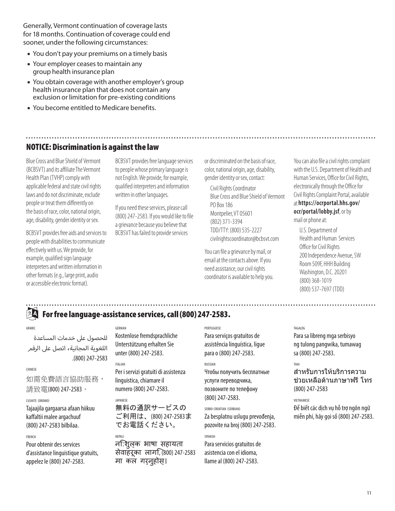Generally, Vermont continuation of coverage lasts for 18 months. Continuation of coverage could end sooner, under the following circumstances:

- **You don't pay your premiums on a timely basis**
- **Your employer ceases to maintain any** group health insurance plan
- You obtain coverage with another employer's group health insurance plan that does not contain any exclusion or limitation for pre-existing conditions
- **You become entitled to Medicare benefits.**

### NOTICE: Discrimination is against the law

Blue Cross and Blue Shield of Vermont (BCBSVT) and its affiliate The Vermont Health Plan (TVHP) comply with applicable federal and state civil rights laws and do not discriminate, exclude people or treat them differently on the basis of race, color, national origin, age, disability, gender identity or sex.

BCBSVT provides free aids and services to people with disabilities to communicate effectively with us. We provide, for example, qualified sign language interpreters and written information in other formats (e.g., large print, audio or accessible electronic format).

BCBSVT provides free language services to people whose primary language is not English. We provide, for example, qualified interpreters and information written in other languages.

If you need these services, please call (800) 247‑2583. If you would like to file a grievance because you believe that BCBSVT has failed to provide services

or discriminated on the basis of race, color, national origin, age, disability, gender identity or sex, contact:

Civil Rights Coordinator Blue Cross and Blue Shield of Vermont PO Box 186 Montpelier, VT 05601 (802) 371‑3394 TDD/TTY: (800) 535‑2227 civilrightscoordinator@bcbsvt.com

You can file a grievance by mail, or email at the contacts above. If you need assistance, our civil rights coordinator is available to help you. You can also file a civil rights complaint with the U.S. Department of Health and Human Services, Office for Civil Rights, electronically through the Office for Civil Rights Complaint Portal, available at **https://ocrportal.hhs.gov/ ocr/portal/lobby.jsf**, or by

mail or phone at:

U.S. Department of Health and Human Services Office for Civil Rights 200 Independence Avenue, SW Room 509F, HHH Building Washington, D.C. 20201 (800) 368‑1019 (800) 537‑7697 (TDD)

#### For free language-assistance services, call (800) 247-2583.  $2A$

#### ARABIC

للحصول على خدمات المساعدة اللغوية المجانية، اتصل عىل الرقم .(800) 247-2583

#### CHINESE

如需免費語言協助服務, 請致雷(800) 247-2583。

#### CUSHITE (OROMO)

Tajaajila gargaarsa afaan hiikuu kaffaltii malee argachuuf (800) 247-2583 bilbilaa.

#### FRENCH

Pour obtenir des services d'assistance linguistique gratuits, appelez le (800) 247-2583.

#### GERMAN

Kostenlose fremdsprachliche Unterstützung erhalten Sie unter (800) 247-2583.

#### ITALIAN

Per i servizi gratuiti di assistenza linguistica, chiamare il numero (800) 247-2583.

#### JAPANESE

NEPALI

無料の通訳サービスの ご利用は、(800) 247-2583ま でお電話ください。

नि:शुल्क भाषा सहायता सेवाहरूका लागि, (800) 247-2583 मा कल गर्नुहोस्।

#### **PORTUGUESE**

Para serviços gratuitos de assistência linguística, ligue para o (800) 247-2583.

#### RUSSIAN

Чтобы получить бесплатные услуги переводчика, позвоните по телефону (800) 247-2583.

#### SERBO-CROATIAN (SERBIAN)

Za besplatnu uslugu prevođenja, pozovite na broj (800) 247-2583.

#### SPANISH

Para servicios gratuitos de asistencia con el idioma, llame al (800) 247-2583.

#### TAGALOG

Para sa libreng mga serbisyo ng tulong pangwika, tumawag sa (800) 247-2583.

#### THAI

สำหรับการให้บริการความ ี่ ช่วยเหลือด้านภาษาฟรี โทร (800) 247-2583

#### VIETNAMESE

Để biết các dịch vụ hỗ trợ ngôn ngữ miễn phí, hãy gọi số (800) 247-2583.